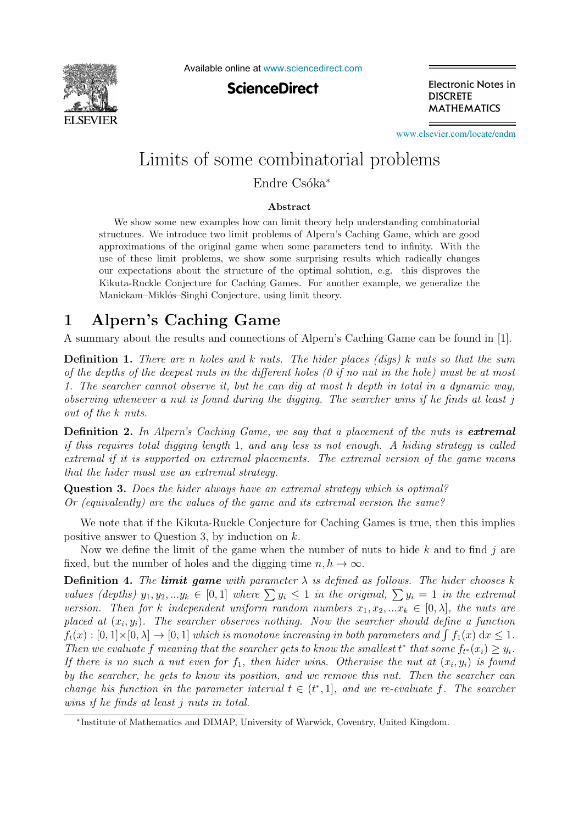

Available online at [www.sciencedirect.com](http://www.sciencedirect.com)

**ScienceDirect** 

Electronic Notes in **DISCRETE MATHEMATICS** 

[www.elsevier.com/locate/endm](http://www.elsevier.com/locate/endm)

## Limits of some combinatorial problems

Endre Csóka<sup>∗</sup>

#### **Abstract**

We show some new examples how can limit theory help understanding combinatorial structures. We introduce two limit problems of Alpern's Caching Game, which are good approximations of the original game when some parameters tend to infinity. With the use of these limit problems, we show some surprising results which radically changes our expectations about the structure of the optimal solution, e.g. this disproves the Kikuta-Ruckle Conjecture for Caching Games. For another example, we generalize the Manickam–Miklós–Singhi Conjecture, using limit theory.

## 1

A summary about the results and connections of Alpern's Caching Game can be found in [1].

**Definition 1.** There are n holes and k nuts. The hider places (digs) k nuts so that the sum of the depths of the deepest nuts in the different holes  $(0 \text{ if no nut in the hole})$  must be at most 1. The searcher cannot observe it, but he can dig at most h depth in total in a dynamic way, observing whenever a nut is found during the digging. The searcher wins if he finds at least j out of the k nuts.

**Definition 2.** In Alpern's Caching Game, we say that a placement of the nuts is *extremal* if this requires total digging length 1, and any less is not enough. A hiding strategy is called extremal if it is supported on extremal placements. The extremal version of the game means that the hider must use an extremal strategy.

**Question 3.** Does the hider always have an extremal strategy which is optimal? Or (equivalently) are the values of the game and its extremal version the same?

We note that if the Kikuta-Ruckle Conjecture for Caching Games is true, then this implies positive answer to Question 3, by induction on k.

Now we define the limit of the game when the number of nuts to hide  $k$  and to find j are fixed, but the number of holes and the digging time  $n, h \to \infty$ .

**Definition 4.** The **limit game** with parameter  $\lambda$  is defined as follows. The hider chooses k values (depths)  $y_1, y_2, ... y_k \in [0,1]$  where  $\sum y_i \leq 1$  in the original,  $\sum y_i = 1$  in the extremal version. Then for k independent uniform random numbers  $x_1, x_2, ... x_k \in [0, \lambda]$ , the nuts are placed at  $(x_i, y_i)$ . The searcher observes nothing. Now the searcher should define a function  $f_t(x): [0,1] \times [0,\lambda] \to [0,1]$  which is monotone increasing in both parameters and  $\int f_1(x) dx \leq 1$ . Then we evaluate f meaning that the searcher gets to know the smallest  $t^*$  that some  $f_{t^*}(x_i) \geq y_i$ . If there is no such a nut even for  $f_1$ , then hider wins. Otherwise the nut at  $(x_i, y_i)$  is found by the searcher, he gets to know its position, and we remove this nut. Then the searcher can change his function in the parameter interval  $t \in (t^*, 1]$ , and we re-evaluate f. The searcher wins if he finds at least j nuts in total.

<sup>∗</sup>Institute of Mathematics and DIMAP, University of Warwick, Coventry, United Kingdom.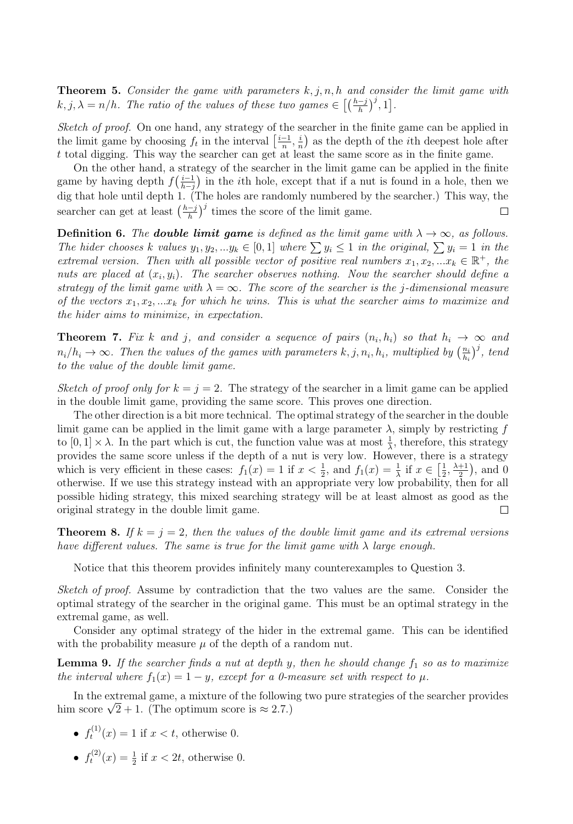**Theorem 5.** Consider the game with parameters  $k, j, n, h$  and consider the limit game with  $k, j, \lambda = n/h$ . The ratio of the values of these two games  $\in \left[\left(\frac{h-j}{h}\right)^j, 1\right]$ .

Sketch of proof. On one hand, any strategy of the searcher in the finite game can be applied in the limit game by choosing  $f_t$  in the interval  $\left[\frac{i-1}{n}, \frac{i}{n}\right)$  as the depth of the *i*th deepest hole after t total digging. This way the searcher can get at least the same score as in the finite game.

On the other hand, a strategy of the searcher in the limit game can be applied in the finite game by having depth  $f(\frac{i-1}{b-i})$  in the *i*th hole, except that if a nut is found in a hole, then we dig that hole until depth 1. (The holes are randomly numbered by the searcher.) This way, the dig that hole until depth 1. searcher can get at least  $\left(\frac{h-j}{h}\right)^j$  times the score of the limit game.  $\Box$ 

**Definition 6.** The **double limit game** is defined as the limit game with  $\lambda \to \infty$ , as follows. The hider chooses k values  $y_1, y_2, ... y_k \in [0, 1]$  where  $\sum y_i \leq 1$  in the original,  $\sum y_i = 1$  in the extremal version. Then with all possible vector of positive real numbers  $x_1, x_2, ... x_k \in \mathbb{R}^+$ , the nuts are placed at  $(x_i, y_i)$ . The searcher observes nothing. Now the searcher should define a strategy of the limit game with  $\lambda = \infty$ . The score of the searcher is the j-dimensional measure of the vectors  $x_1, x_2, \ldots x_k$  for which he wins. This is what the searcher aims to maximize and the hider aims to minimize, in expectation.

**Theorem 7.** Fix k and j, and consider a sequence of pairs  $(n_i, h_i)$  so that  $h_i \rightarrow \infty$  and  $n_i/h_i \to \infty$ . Then the values of the games with parameters  $k, j, n_i, h_i$ , multiplied by  $\left(\frac{n_i}{h_i}\right)^j$ , tend to the value of the double limit game.

Sketch of proof only for  $k = i = 2$ . The strategy of the searcher in a limit game can be applied in the double limit game, providing the same score. This proves one direction.

The other direction is a bit more technical. The optimal strategy of the searcher in the double limit game can be applied in the limit game with a large parameter  $\lambda$ , simply by restricting f to  $[0,1] \times \lambda$ . In the part which is cut, the function value was at most  $\frac{1}{\lambda}$ , therefore, this strategy provides the same score unless if the depth of a nut is very low. However, there is a strategy which is very efficient in these cases:  $f_1(x) = 1$  if  $x < \frac{1}{2}$ , and  $f_1(x) = \frac{1}{\lambda}$  if  $x \in \left[\frac{1}{2}, \frac{\lambda+1}{2}\right)$ , and 0 otherwise. If we use this strategy instead with an appropriate very low probability, then for all possible hiding strategy, this mixed searching strategy will be at least almost as good as the original strategy in the double limit game. П

**Theorem 8.** If  $k = j = 2$ , then the values of the double limit game and its extremal versions have different values. The same is true for the limit game with  $\lambda$  large enough.

Notice that this theorem provides infinitely many counterexamples to Question 3.

Sketch of proof. Assume by contradiction that the two values are the same. Consider the optimal strategy of the searcher in the original game. This must be an optimal strategy in the extremal game, as well.

Consider any optimal strategy of the hider in the extremal game. This can be identified with the probability measure  $\mu$  of the depth of a random nut.

**Lemma 9.** If the searcher finds a nut at depth y, then he should change  $f_1$  so as to maximize the interval where  $f_1(x)=1 - y$ , except for a 0-measure set with respect to  $\mu$ .

In the extremal game, a mixture of the following two pure strategies of the searcher provides him score  $\sqrt{2} + 1$ . (The optimum score is  $\approx 2.7$ .)

- $f_t^{(1)}(x) = 1$  if  $x < t$ , otherwise 0.
- $f_t^{(2)}(x) = \frac{1}{2}$  if  $x < 2t$ , otherwise 0.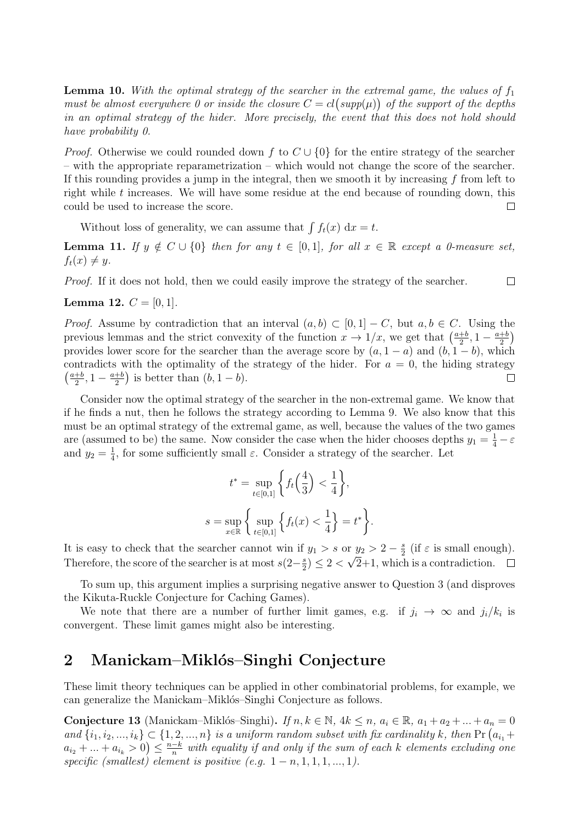**Lemma 10.** With the optimal strategy of the searcher in the extremal game, the values of  $f_1$ must be almost everywhere 0 or inside the closure  $C = cl(supp(\mu))$  of the support of the depths in an optimal strategy of the hider. More precisely, the event that this does not hold should have probability 0.

*Proof.* Otherwise we could rounded down f to  $C \cup \{0\}$  for the entire strategy of the searcher – with the appropriate reparametrization – which would not change the score of the searcher. If this rounding provides a jump in the integral, then we smooth it by increasing  $f$  from left to right while t increases. We will have some residue at the end because of rounding down, this could be used to increase the score.  $\Box$ 

Without loss of generality, we can assume that  $\int f_t(x) dx = t$ .

**Lemma 11.** If  $y \notin C \cup \{0\}$  then for any  $t \in [0,1]$ , for all  $x \in \mathbb{R}$  except a 0-measure set,  $f_t(x) \neq y$ .

 $\Box$ 

Proof. If it does not hold, then we could easily improve the strategy of the searcher.

**Lemma 12.**  $C = [0, 1]$ .

*Proof.* Assume by contradiction that an interval  $(a, b) \subset [0, 1] - C$ , but  $a, b \in C$ . Using the previous lemmas and the strict convexity of the function  $x \to 1/x$ , we get that  $\left(\frac{a+b}{2}, 1 - \frac{a+b}{2}\right)$ provides lower score for the searcher than the average score by  $(a, 1 - a)$  and  $(b, 1 - b)$ , which contradicts with the optimality of the strategy of the hider. For  $a = 0$ , the hiding strategy  $\left(\frac{a+b}{2}, 1-\frac{a+b}{2}\right)$  is better than  $(b, 1-b)$ .  $\Box$ 

Consider now the optimal strategy of the searcher in the non-extremal game. We know that if he finds a nut, then he follows the strategy according to Lemma 9. We also know that this must be an optimal strategy of the extremal game, as well, because the values of the two games are (assumed to be) the same. Now consider the case when the hider chooses depths  $y_1 = \frac{1}{4} - \varepsilon$ and  $y_2 = \frac{1}{4}$ , for some sufficiently small  $\varepsilon$ . Consider a strategy of the searcher. Let

$$
t^* = \sup_{t \in [0,1]} \left\{ f_t \left( \frac{4}{3} \right) < \frac{1}{4} \right\},
$$
\n
$$
s = \sup_{x \in \mathbb{R}} \left\{ \sup_{t \in [0,1]} \left\{ f_t(x) < \frac{1}{4} \right\} = t^* \right\}.
$$

It is easy to check that the searcher cannot win if  $y_1 > s$  or  $y_2 > 2 - \frac{s}{2}$  (if  $\varepsilon$  is small enough). Therefore, the score of the searcher is at most  $s(2-\frac{s}{2}) \leq 2 < \sqrt{2}+1$ , which is a contradiction.

To sum up, this argument implies a surprising negative answer to Question 3 (and disproves the Kikuta-Ruckle Conjecture for Caching Games).

We note that there are a number of further limit games, e.g. if  $j_i \to \infty$  and  $j_i/k_i$  is convergent. These limit games might also be interesting.

### $\overline{2}$ **2 Manickam–Mikl´os–Singhi Conjecture**

These limit theory techniques can be applied in other combinatorial problems, for example, we can generalize the Manickam–Miklós–Singhi Conjecture as follows.

**Conjecture 13** (Manickam–Miklós–Singhi). If  $n, k \in \mathbb{N}$ ,  $4k \leq n$ ,  $a_i \in \mathbb{R}$ ,  $a_1 + a_2 + ... + a_n = 0$ and  $\{i_1, i_2, ..., i_k\} \subset \{1, 2, ..., n\}$  is a uniform random subset with fix cardinality k, then Pr  $(a_{i_1} + a_{i_2}, ..., a_{i_k})$  $a_{i_2} + ... + a_{i_k} > 0$   $\leq \frac{n-k}{n}$  with equality if and only if the sum of each k elements excluding one specific (smallest) element is positive  $(e.g. 1-n, 1, 1, 1, ..., 1)$ .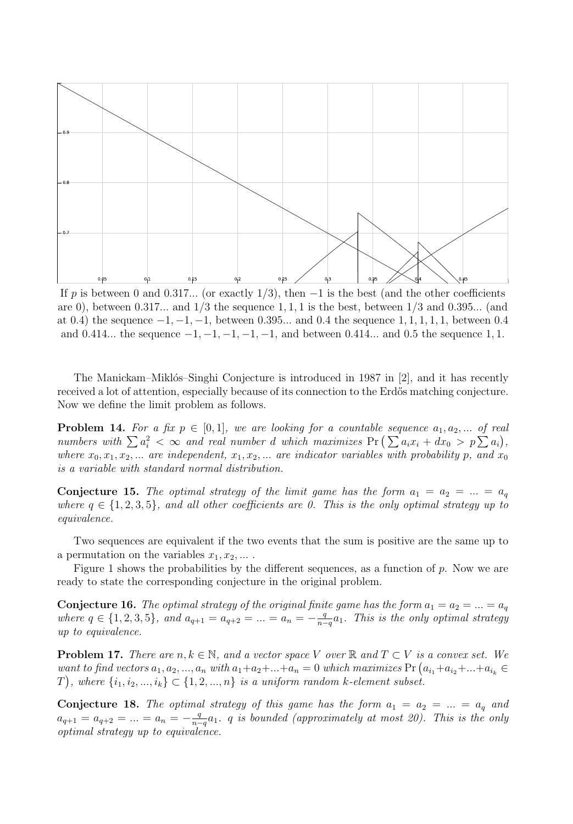

If p is between 0 and 0.317... (or exactly 1/3), then  $-1$  is the best (and the other coefficients are 0), between  $0.317...$  and  $1/3$  the sequence  $1, 1, 1$  is the best, between  $1/3$  and  $0.395...$  (and at 0.4) the sequence  $-1, -1, -1$ , between 0.395... and 0.4 the sequence 1, 1, 1, 1, 1, between 0.4 and 0.414... the sequence  $-1, -1, -1, -1, -1$ , and between 0.414... and 0.5 the sequence 1, 1.

The Manickam–Miklós–Singhi Conjecture is introduced in 1987 in [2], and it has recently received a lot of attention, especially because of its connection to the Erdős matching conjecture. Now we define the limit problem as follows.

**Problem 14.** For a fix  $p \in [0,1]$ , we are looking for a countable sequence  $a_1, a_2, \ldots$  of real numbers with  $\sum a_i^2 < \infty$  and real number d which maximizes  $\Pr\left(\sum a_i x_i + dx_0 > p \sum a_i\right)$ , where  $x_0, x_1, x_2, \ldots$  are independent,  $x_1, x_2, \ldots$  are indicator variables with probability p, and  $x_0$ is a variable with standard normal distribution.

**Conjecture 15.** The optimal strategy of the limit game has the form  $a_1 = a_2 = ... = a_q$ where  $q \in \{1, 2, 3, 5\}$ , and all other coefficients are 0. This is the only optimal strategy up to equivalence.

Two sequences are equivalent if the two events that the sum is positive are the same up to a permutation on the variables  $x_1, x_2, \ldots$ .

Figure 1 shows the probabilities by the different sequences, as a function of p. Now we are ready to state the corresponding conjecture in the original problem.

**Conjecture 16.** The optimal strategy of the original finite game has the form  $a_1 = a_2 = ... = a_q$ where  $q \in \{1, 2, 3, 5\}$ , and  $a_{q+1} = a_{q+2} = ... = a_n = -\frac{q}{n-q}a_1$ . This is the only optimal strategy up to equivalence.

**Problem 17.** There are  $n, k \in \mathbb{N}$ , and a vector space V over  $\mathbb{R}$  and  $T \subset V$  is a convex set. We want to find vectors  $a_1, a_2, ..., a_n$  with  $a_1 + a_2 + ... + a_n = 0$  which maximizes  $Pr(a_{i_1} + a_{i_2} + ... + a_{i_k} \in \mathbb{R})$  $(T)$ , where  $\{i_1, i_2, ..., i_k\} \subset \{1, 2, ..., n\}$  is a uniform random k-element subset.

**Conjecture 18.** The optimal strategy of this game has the form  $a_1 = a_2 = ... = a_q$  and  $a_{q+1} = a_{q+2} = ... = a_n = -\frac{q}{n-q}a_1$ . q is bounded (approximately at most 20). This is the only optimal strategy up to equivalence.